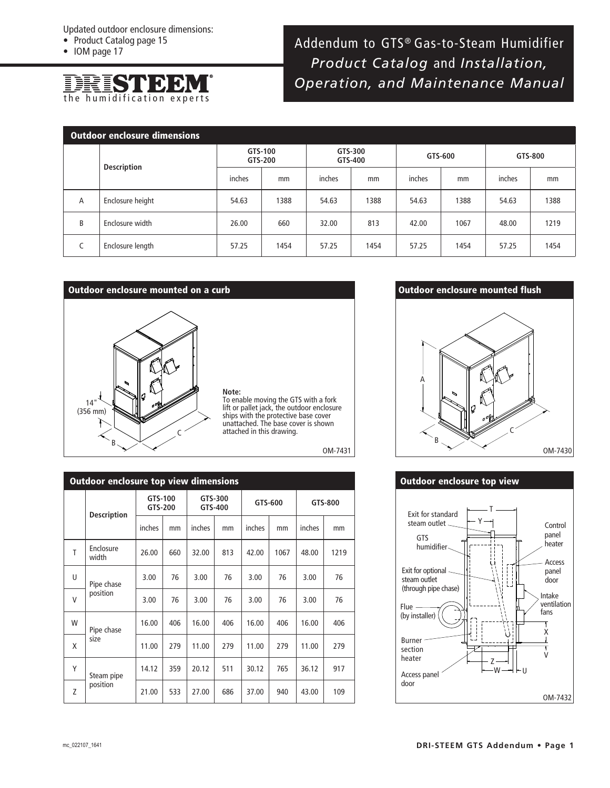- Product Catalog page 15
- IOM page 17



# Addendum to GTS® Gas-to-Steam Humidifier *Product Catalog* and *Installation, Operation, and Maintenance Manual*

| <b>Outdoor enclosure dimensions</b> |                    |                    |      |                    |      |         |      |         |      |  |  |
|-------------------------------------|--------------------|--------------------|------|--------------------|------|---------|------|---------|------|--|--|
|                                     | <b>Description</b> | GTS-100<br>GTS-200 |      | GTS-300<br>GTS-400 |      | GTS-600 |      | GTS-800 |      |  |  |
|                                     |                    | inches             | mm   | inches             | mm   | inches  | mm   | inches  | mm   |  |  |
| A                                   | Enclosure height   | 54.63              | 1388 | 54.63              | 1388 | 54.63   | 1388 | 54.63   | 1388 |  |  |
| B                                   | Enclosure width    | 26.00              | 660  | 32.00              | 813  | 42.00   | 1067 | 48.00   | 1219 |  |  |
| C                                   | Enclosure length   | 57.25              | 1454 | 57.25              | 1454 | 57.25   | 1454 | 57.25   | 1454 |  |  |

### **Outdoor enclosure mounted on a curb**



**Note:** To enable moving the GTS with a fork lift or pallet jack, the outdoor enclosure ships with the protective base cover unattached. The base cover is shown attached in this drawing.

OM-7431

| <b>Outdoor enclosure top view dimensions</b> |                        |                    |     |                    |     |         |      |         |      |  |  |  |
|----------------------------------------------|------------------------|--------------------|-----|--------------------|-----|---------|------|---------|------|--|--|--|
|                                              | <b>Description</b>     | GTS-100<br>GTS-200 |     | GTS-300<br>GTS-400 |     | GTS-600 |      | GTS-800 |      |  |  |  |
|                                              |                        | inches             | mm  | inches             | mm  | inches  | mm   | inches  | mm   |  |  |  |
| T                                            | Enclosure<br>width     | 26.00              | 660 | 32.00              | 813 | 42.00   | 1067 | 48.00   | 1219 |  |  |  |
| U                                            | Pipe chase<br>position | 3.00               | 76  | 3.00               | 76  | 3.00    | 76   | 3.00    | 76   |  |  |  |
| V                                            |                        | 3.00               | 76  | 3.00               | 76  | 3.00    | 76   | 3.00    | 76   |  |  |  |
| W                                            | Pipe chase<br>size     | 16.00              | 406 | 16.00              | 406 | 16.00   | 406  | 16.00   | 406  |  |  |  |
| X                                            |                        | 11.00              | 279 | 11.00              | 279 | 11.00   | 279  | 11.00   | 279  |  |  |  |
| Υ                                            | Steam pipe<br>position | 14.12              | 359 | 20.12              | 511 | 30.12   | 765  | 36.12   | 917  |  |  |  |
| Z                                            |                        | 21.00              | 533 | 27.00              | 686 | 37.00   | 940  | 43.00   | 109  |  |  |  |

## **Outdoor enclosure mounted flush**



## **Outdoor enclosure top view**